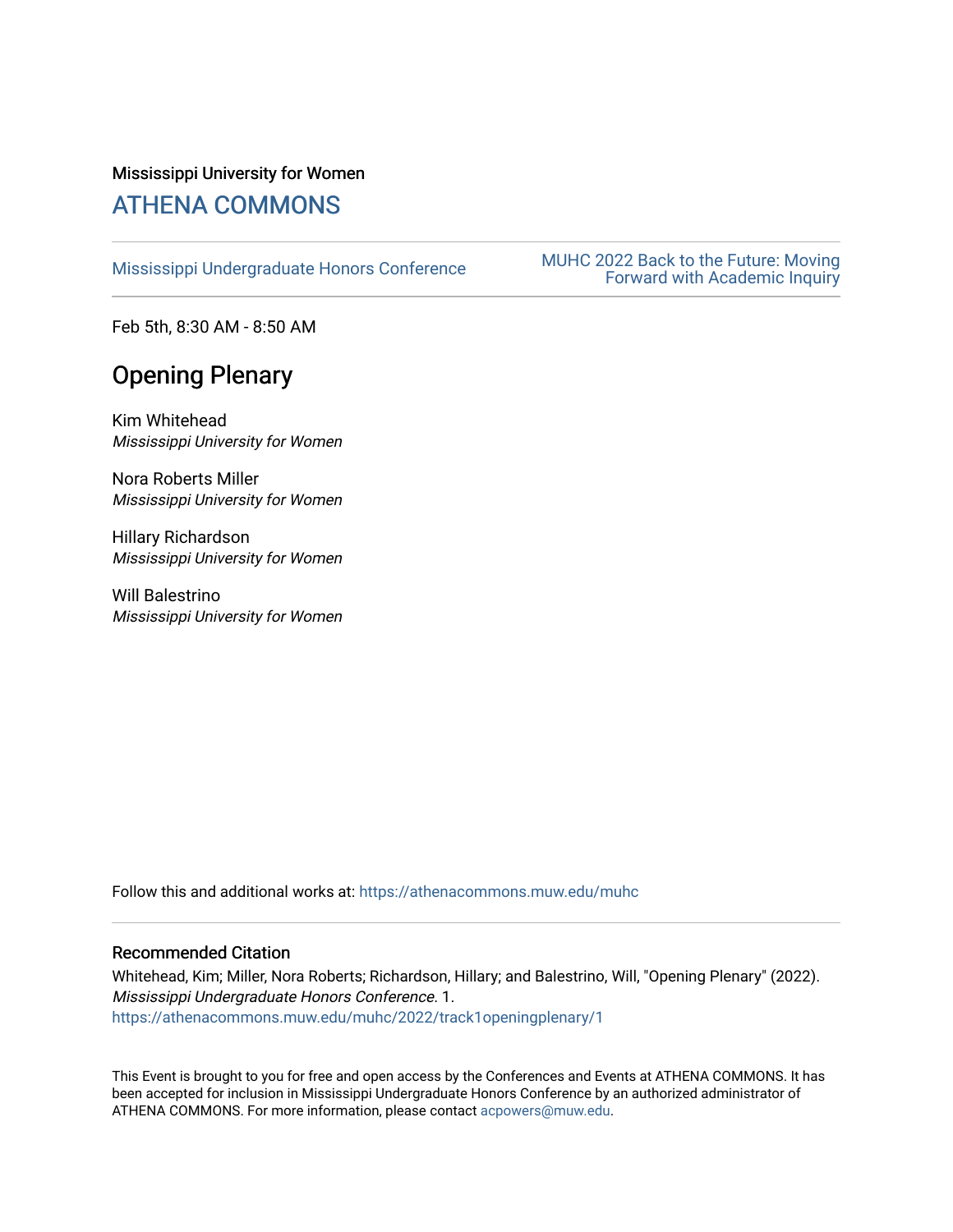## Mississippi University for Women [ATHENA COMMONS](https://athenacommons.muw.edu/)

MUHC 2022 Back to the Future: Moving<br>[Mississippi Undergraduate Honors Conference](https://athenacommons.muw.edu/muhc) **MUHC 2022 Back to the Future: Moving** [Forward with Academic Inquiry](https://athenacommons.muw.edu/muhc/2022) 

Feb 5th, 8:30 AM - 8:50 AM

## Opening Plenary

Kim Whitehead Mississippi University for Women

Nora Roberts Miller Mississippi University for Women

Hillary Richardson Mississippi University for Women

Will Balestrino Mississippi University for Women

Follow this and additional works at: [https://athenacommons.muw.edu/muhc](https://athenacommons.muw.edu/muhc?utm_source=athenacommons.muw.edu%2Fmuhc%2F2022%2Ftrack1openingplenary%2F1&utm_medium=PDF&utm_campaign=PDFCoverPages) 

#### Recommended Citation

Whitehead, Kim; Miller, Nora Roberts; Richardson, Hillary; and Balestrino, Will, "Opening Plenary" (2022). Mississippi Undergraduate Honors Conference. 1. [https://athenacommons.muw.edu/muhc/2022/track1openingplenary/1](https://athenacommons.muw.edu/muhc/2022/track1openingplenary/1?utm_source=athenacommons.muw.edu%2Fmuhc%2F2022%2Ftrack1openingplenary%2F1&utm_medium=PDF&utm_campaign=PDFCoverPages)

This Event is brought to you for free and open access by the Conferences and Events at ATHENA COMMONS. It has been accepted for inclusion in Mississippi Undergraduate Honors Conference by an authorized administrator of ATHENA COMMONS. For more information, please contact [acpowers@muw.edu](mailto:acpowers@muw.edu).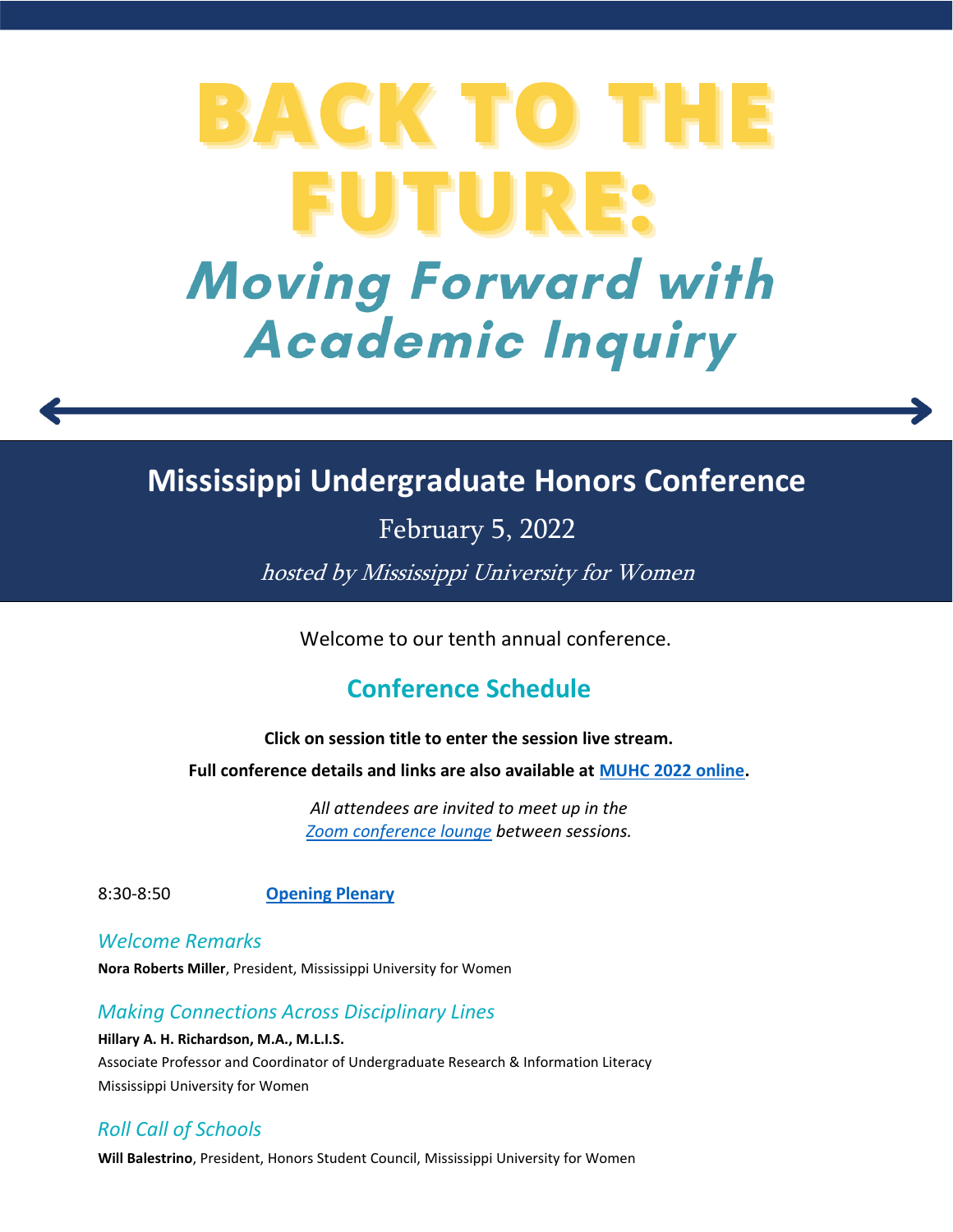# BACK TO TH FUTURE: **Moving Forward with Academic Inquiry**

## **Mississippi Undergraduate Honors Conference**

February 5, 2022

hosted by Mississippi University for Women

Welcome to our tenth annual conference.

## **Conference Schedule**

#### **Click on session title to enter the session live stream.**

**Full conference details and links are also available at [MUHC 2022 online.](https://athenacommons.muw.edu/muhc/)**

*All attendees are invited to meet up in the [Zoom conference lounge](https://muw.zoom.us/j/96210843289) between sessions.* 

8:30-8:50 **[Opening Plenary](https://muw.zoom.us/j/95994125107)**

## *Welcome Remarks*

**Nora Roberts Miller**, President, Mississippi University for Women

#### *Making Connections Across Disciplinary Lines*

**Hillary A. H. Richardson, M.A., M.L.I.S.** Associate Professor and Coordinator of Undergraduate Research & Information Literacy Mississippi University for Women

## *Roll Call of Schools*

**Will Balestrino**, President, Honors Student Council, Mississippi University for Women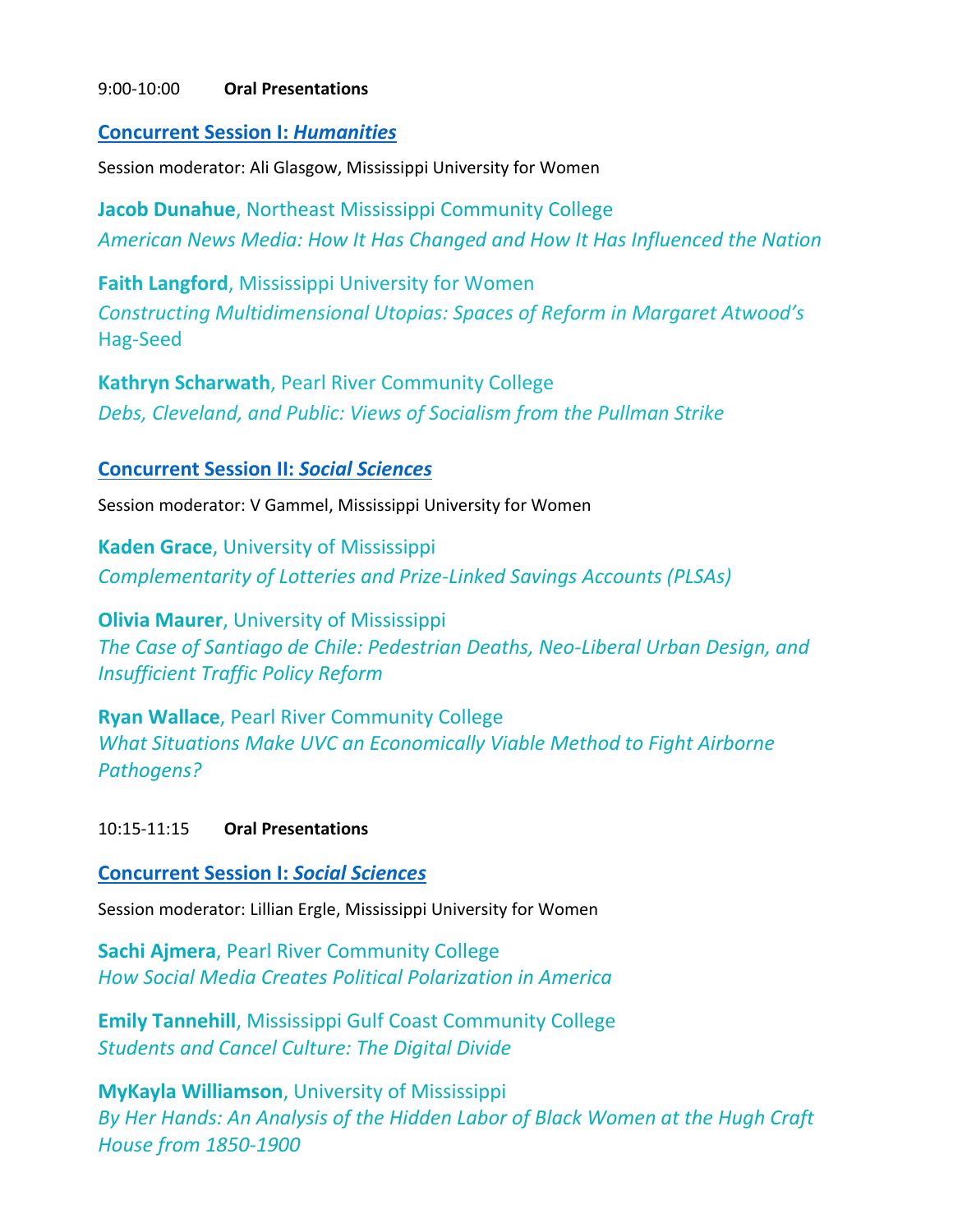#### 9:00-10:00 **Oral Presentations**

#### **[Concurrent Session I:](https://muw.zoom.us/j/99264224787)** *Humanities*

Session moderator: Ali Glasgow, Mississippi University for Women

**Jacob Dunahue**, Northeast Mississippi Community College *American News Media: How It Has Changed and How It Has Influenced the Nation*

**Faith Langford**, Mississippi University for Women *Constructing Multidimensional Utopias: Spaces of Reform in Margaret Atwood's*  Hag-Seed

**Kathryn Scharwath**, Pearl River Community College *Debs, Cleveland, and Public: Views of Socialism from the Pullman Strike*

#### **[Concurrent Session II:](https://muw.zoom.us/j/93954905814)** *Social Sciences*

Session moderator: V Gammel, Mississippi University for Women

**Kaden Grace**, University of Mississippi *Complementarity of Lotteries and Prize-Linked Savings Accounts (PLSAs)*

**Olivia Maurer**, University of Mississippi *The Case of Santiago de Chile: Pedestrian Deaths, Neo-Liberal Urban Design, and Insufficient Traffic Policy Reform*

**Ryan Wallace**, Pearl River Community College *What Situations Make UVC an Economically Viable Method to Fight Airborne Pathogens?*

#### 10:15-11:15 **Oral Presentations**

#### **[Concurrent Session I:](https://muw.zoom.us/j/95361909782)** *Social Sciences*

Session moderator: Lillian Ergle, Mississippi University for Women

**Sachi Ajmera**, Pearl River Community College *How Social Media Creates Political Polarization in America*

**Emily Tannehill**, Mississippi Gulf Coast Community College *Students and Cancel Culture: The Digital Divide*

**MyKayla Williamson**, University of Mississippi *By Her Hands: An Analysis of the Hidden Labor of Black Women at the Hugh Craft House from 1850-1900*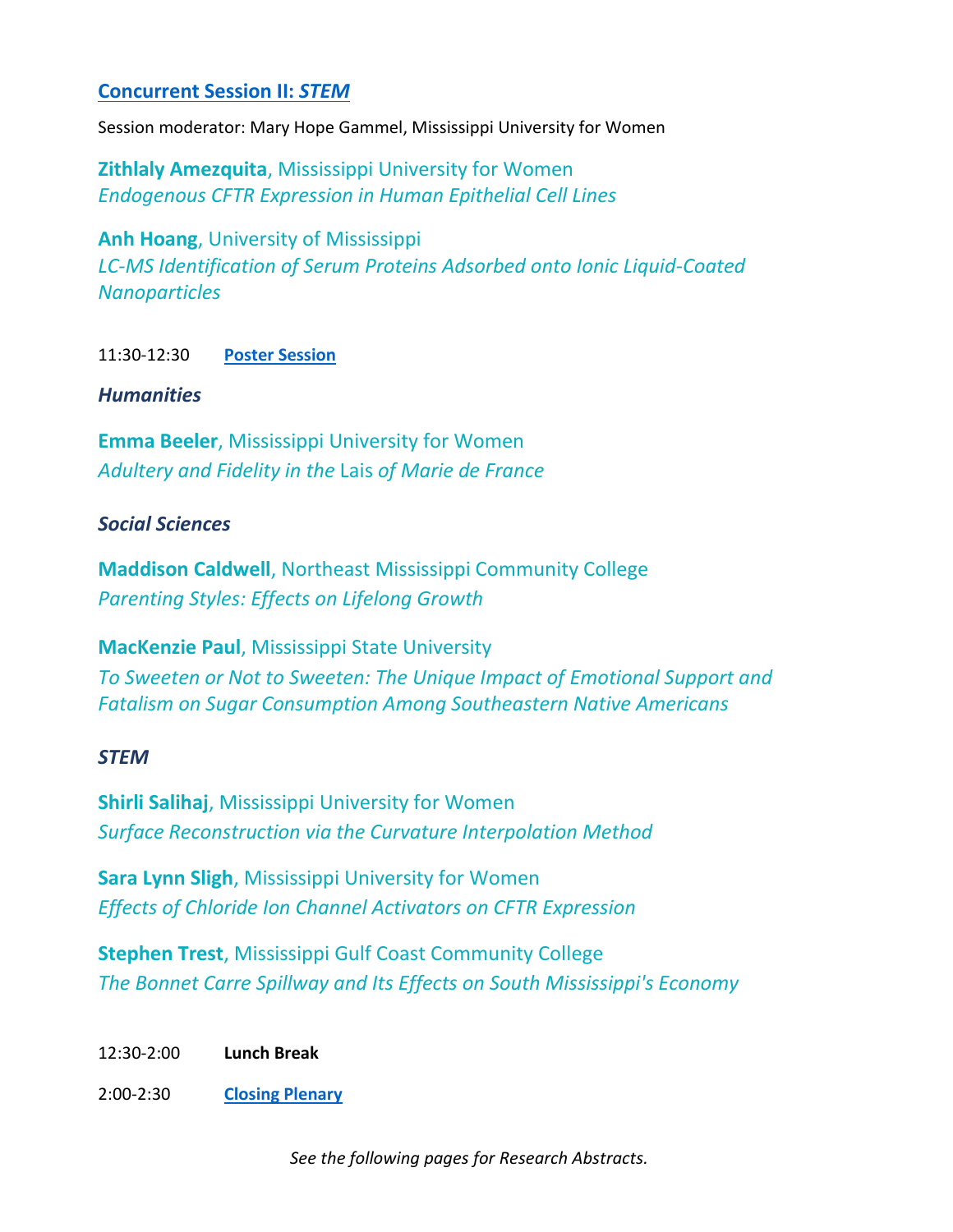#### **[Concurrent Session II:](https://muw.zoom.us/j/92127937822)** *STEM*

Session moderator: Mary Hope Gammel, Mississippi University for Women

**Zithlaly Amezquita**, Mississippi University for Women *Endogenous CFTR Expression in Human Epithelial Cell Lines*

**Anh Hoang**, University of Mississippi *LC-MS Identification of Serum Proteins Adsorbed onto Ionic Liquid-Coated Nanoparticles*

11:30-12:30 **[Poster Session](https://muw.zoom.us/j/92679895486)**

#### *Humanities*

**Emma Beeler**, Mississippi University for Women *Adultery and Fidelity in the* Lais *of Marie de France*

#### *Social Sciences*

**Maddison Caldwell**, Northeast Mississippi Community College *Parenting Styles: Effects on Lifelong Growth*

**MacKenzie Paul**, Mississippi State University *To Sweeten or Not to Sweeten: The Unique Impact of Emotional Support and Fatalism on Sugar Consumption Among Southeastern Native Americans*

#### *STEM*

**Shirli Salihaj**, Mississippi University for Women *Surface Reconstruction via the Curvature Interpolation Method*

**Sara Lynn Sligh**, Mississippi University for Women *Effects of Chloride Ion Channel Activators on CFTR Expression*

**Stephen Trest**, Mississippi Gulf Coast Community College *The Bonnet Carre Spillway and Its Effects on South Mississippi's Economy*

12:30-2:00 **Lunch Break**

2:00-2:30 **[Closing Plenary](https://muw.zoom.us/j/94025675900)**

*See the following pages for Research Abstracts.*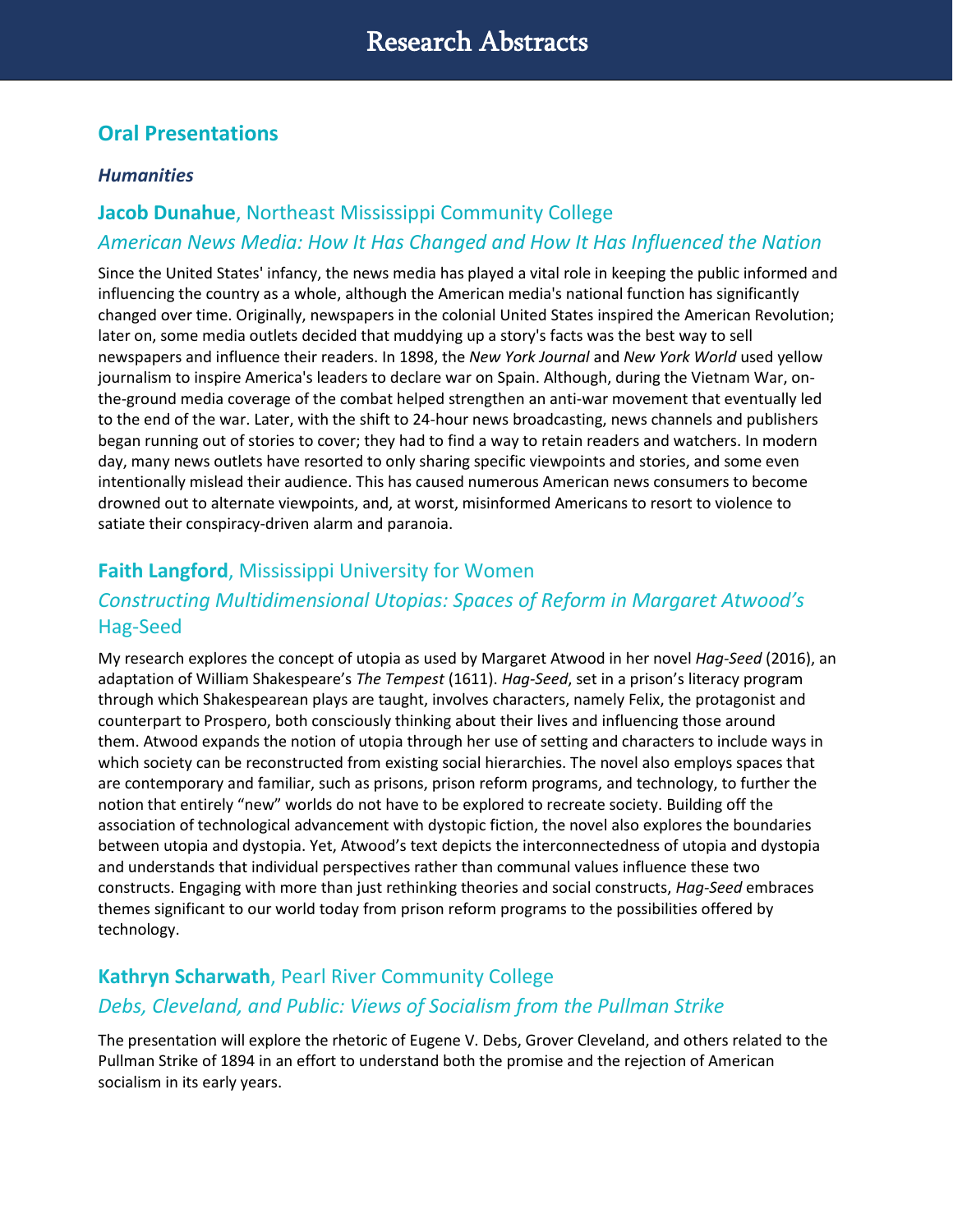## **Oral Presentations**

#### *Humanities*

## **Jacob Dunahue**, Northeast Mississippi Community College *American News Media: How It Has Changed and How It Has Influenced the Nation*

Since the United States' infancy, the news media has played a vital role in keeping the public informed and influencing the country as a whole, although the American media's national function has significantly changed over time. Originally, newspapers in the colonial United States inspired the American Revolution; later on, some media outlets decided that muddying up a story's facts was the best way to sell newspapers and influence their readers. In 1898, the *New York Journal* and *New York World* used yellow journalism to inspire America's leaders to declare war on Spain. Although, during the Vietnam War, onthe-ground media coverage of the combat helped strengthen an anti-war movement that eventually led to the end of the war. Later, with the shift to 24-hour news broadcasting, news channels and publishers began running out of stories to cover; they had to find a way to retain readers and watchers. In modern day, many news outlets have resorted to only sharing specific viewpoints and stories, and some even intentionally mislead their audience. This has caused numerous American news consumers to become drowned out to alternate viewpoints, and, at worst, misinformed Americans to resort to violence to satiate their conspiracy-driven alarm and paranoia.

## **Faith Langford**, Mississippi University for Women

## *Constructing Multidimensional Utopias: Spaces of Reform in Margaret Atwood's*  Hag-Seed

My research explores the concept of utopia as used by Margaret Atwood in her novel *Hag-Seed* (2016), an adaptation of William Shakespeare's *The Tempest* (1611). *Hag-Seed*, set in a prison's literacy program through which Shakespearean plays are taught, involves characters, namely Felix, the protagonist and counterpart to Prospero, both consciously thinking about their lives and influencing those around them. Atwood expands the notion of utopia through her use of setting and characters to include ways in which society can be reconstructed from existing social hierarchies. The novel also employs spaces that are contemporary and familiar, such as prisons, prison reform programs, and technology, to further the notion that entirely "new" worlds do not have to be explored to recreate society. Building off the association of technological advancement with dystopic fiction, the novel also explores the boundaries between utopia and dystopia. Yet, Atwood's text depicts the interconnectedness of utopia and dystopia and understands that individual perspectives rather than communal values influence these two constructs. Engaging with more than just rethinking theories and social constructs, *Hag-Seed* embraces themes significant to our world today from prison reform programs to the possibilities offered by technology.

## **Kathryn Scharwath**, Pearl River Community College *Debs, Cleveland, and Public: Views of Socialism from the Pullman Strike*

The presentation will explore the rhetoric of Eugene V. Debs, Grover Cleveland, and others related to the Pullman Strike of 1894 in an effort to understand both the promise and the rejection of American socialism in its early years.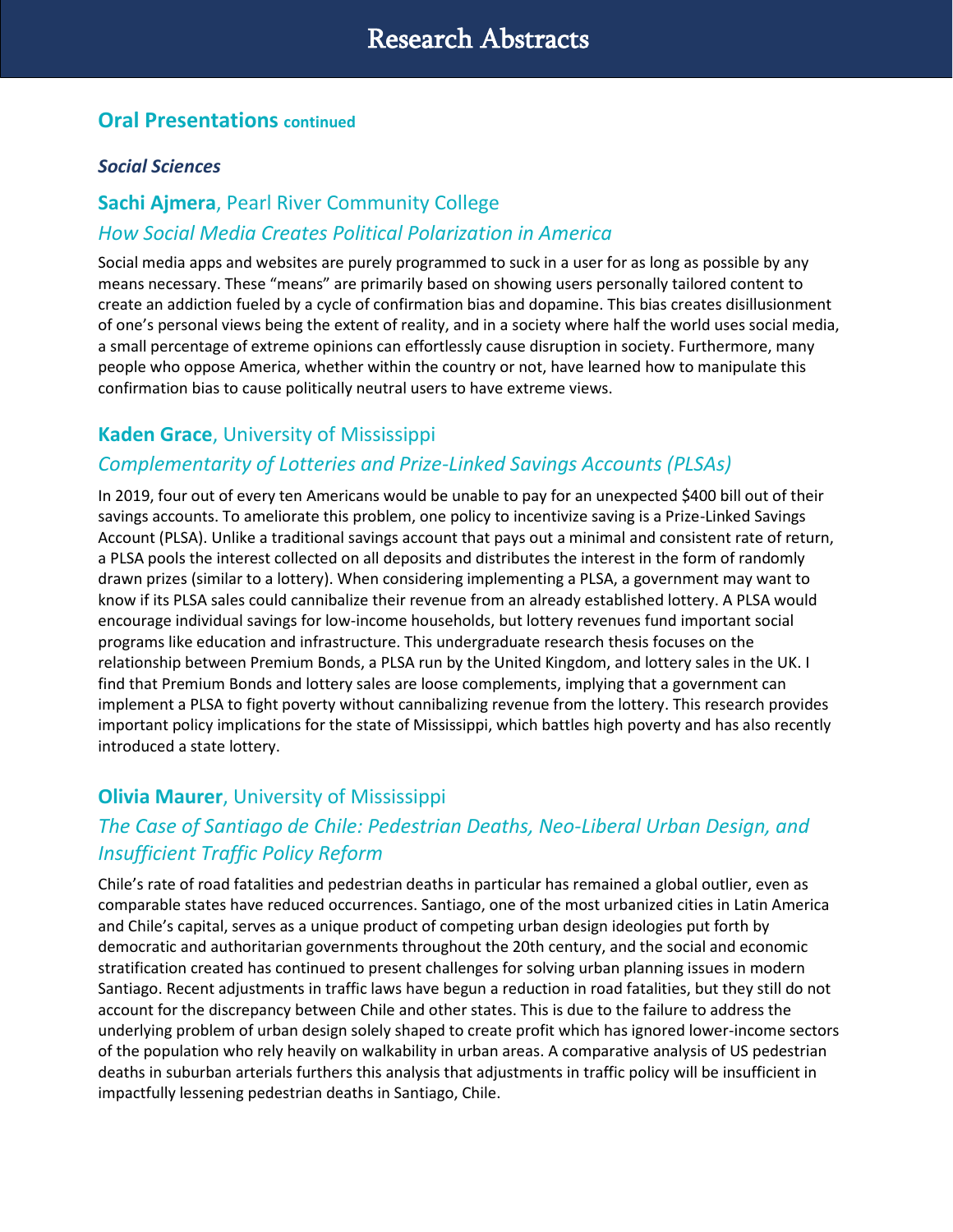## **Oral Presentations continued**

#### *Social Sciences*

## **Sachi Ajmera**, Pearl River Community College

#### *How Social Media Creates Political Polarization in America*

Social media apps and websites are purely programmed to suck in a user for as long as possible by any means necessary. These "means" are primarily based on showing users personally tailored content to create an addiction fueled by a cycle of confirmation bias and dopamine. This bias creates disillusionment of one's personal views being the extent of reality, and in a society where half the world uses social media, a small percentage of extreme opinions can effortlessly cause disruption in society. Furthermore, many people who oppose America, whether within the country or not, have learned how to manipulate this confirmation bias to cause politically neutral users to have extreme views.

#### **Kaden Grace**, University of Mississippi

## *Complementarity of Lotteries and Prize-Linked Savings Accounts (PLSAs)*

In 2019, four out of every ten Americans would be unable to pay for an unexpected \$400 bill out of their savings accounts. To ameliorate this problem, one policy to incentivize saving is a Prize-Linked Savings Account (PLSA). Unlike a traditional savings account that pays out a minimal and consistent rate of return, a PLSA pools the interest collected on all deposits and distributes the interest in the form of randomly drawn prizes (similar to a lottery). When considering implementing a PLSA, a government may want to know if its PLSA sales could cannibalize their revenue from an already established lottery. A PLSA would encourage individual savings for low-income households, but lottery revenues fund important social programs like education and infrastructure. This undergraduate research thesis focuses on the relationship between Premium Bonds, a PLSA run by the United Kingdom, and lottery sales in the UK. I find that Premium Bonds and lottery sales are loose complements, implying that a government can implement a PLSA to fight poverty without cannibalizing revenue from the lottery. This research provides important policy implications for the state of Mississippi, which battles high poverty and has also recently introduced a state lottery.

## **Olivia Maurer**, University of Mississippi

## *The Case of Santiago de Chile: Pedestrian Deaths, Neo-Liberal Urban Design, and Insufficient Traffic Policy Reform*

Chile's rate of road fatalities and pedestrian deaths in particular has remained a global outlier, even as comparable states have reduced occurrences. Santiago, one of the most urbanized cities in Latin America and Chile's capital, serves as a unique product of competing urban design ideologies put forth by democratic and authoritarian governments throughout the 20th century, and the social and economic stratification created has continued to present challenges for solving urban planning issues in modern Santiago. Recent adjustments in traffic laws have begun a reduction in road fatalities, but they still do not account for the discrepancy between Chile and other states. This is due to the failure to address the underlying problem of urban design solely shaped to create profit which has ignored lower-income sectors of the population who rely heavily on walkability in urban areas. A comparative analysis of US pedestrian deaths in suburban arterials furthers this analysis that adjustments in traffic policy will be insufficient in impactfully lessening pedestrian deaths in Santiago, Chile.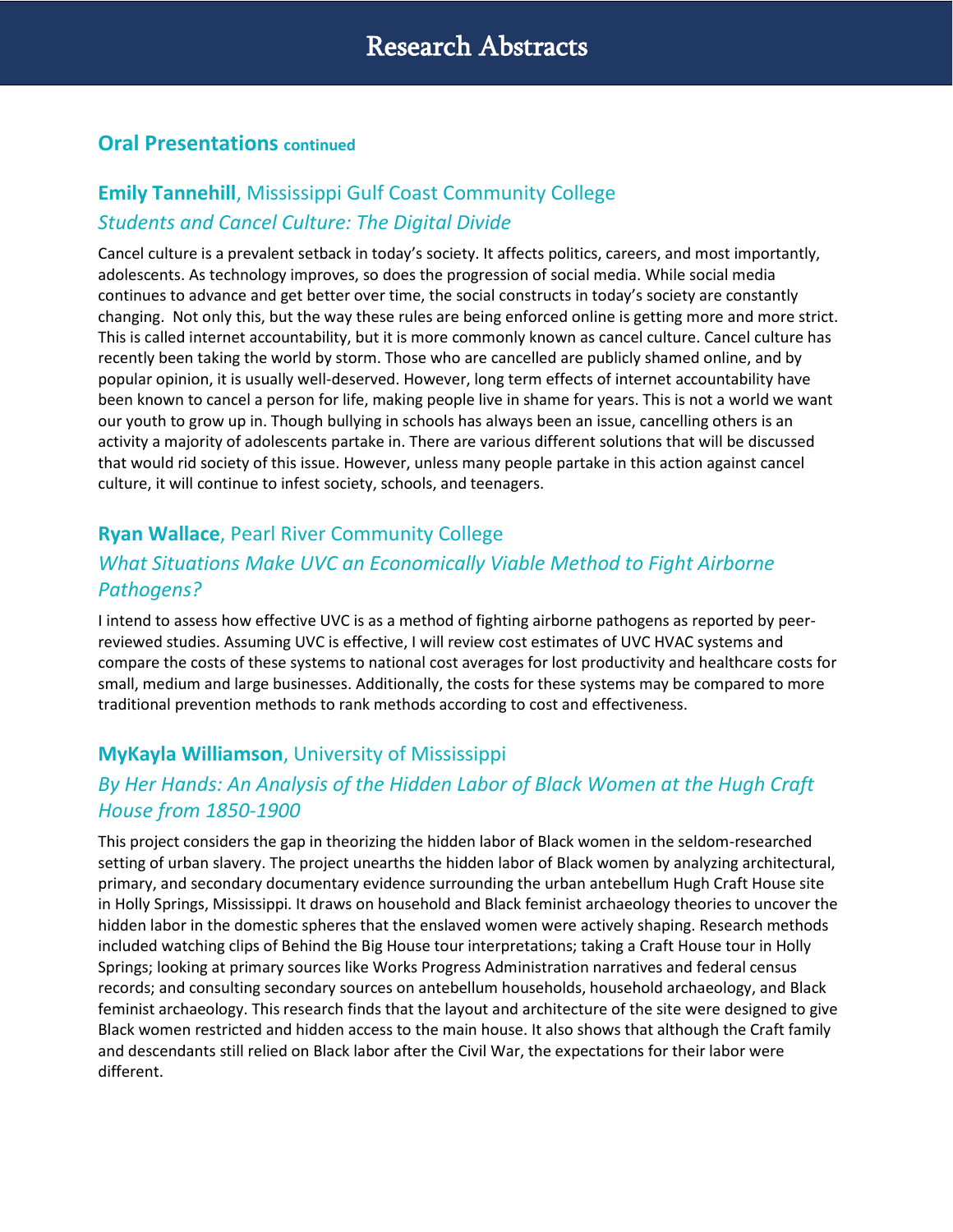#### **Oral Presentations continued**

## **Emily Tannehill**, Mississippi Gulf Coast Community College *Students and Cancel Culture: The Digital Divide*

Cancel culture is a prevalent setback in today's society. It affects politics, careers, and most importantly, adolescents. As technology improves, so does the progression of social media. While social media continues to advance and get better over time, the social constructs in today's society are constantly changing. Not only this, but the way these rules are being enforced online is getting more and more strict. This is called internet accountability, but it is more commonly known as cancel culture. Cancel culture has recently been taking the world by storm. Those who are cancelled are publicly shamed online, and by popular opinion, it is usually well-deserved. However, long term effects of internet accountability have been known to cancel a person for life, making people live in shame for years. This is not a world we want our youth to grow up in. Though bullying in schools has always been an issue, cancelling others is an activity a majority of adolescents partake in. There are various different solutions that will be discussed that would rid society of this issue. However, unless many people partake in this action against cancel culture, it will continue to infest society, schools, and teenagers.

## **Ryan Wallace**, Pearl River Community College

## *What Situations Make UVC an Economically Viable Method to Fight Airborne Pathogens?*

I intend to assess how effective UVC is as a method of fighting airborne pathogens as reported by peerreviewed studies. Assuming UVC is effective, I will review cost estimates of UVC HVAC systems and compare the costs of these systems to national cost averages for lost productivity and healthcare costs for small, medium and large businesses. Additionally, the costs for these systems may be compared to more traditional prevention methods to rank methods according to cost and effectiveness.

## **MyKayla Williamson**, University of Mississippi

## *By Her Hands: An Analysis of the Hidden Labor of Black Women at the Hugh Craft House from 1850-1900*

This project considers the gap in theorizing the hidden labor of Black women in the seldom-researched setting of urban slavery. The project unearths the hidden labor of Black women by analyzing architectural, primary, and secondary documentary evidence surrounding the urban antebellum Hugh Craft House site in Holly Springs, Mississippi. It draws on household and Black feminist archaeology theories to uncover the hidden labor in the domestic spheres that the enslaved women were actively shaping. Research methods included watching clips of Behind the Big House tour interpretations; taking a Craft House tour in Holly Springs; looking at primary sources like Works Progress Administration narratives and federal census records; and consulting secondary sources on antebellum households, household archaeology, and Black feminist archaeology. This research finds that the layout and architecture of the site were designed to give Black women restricted and hidden access to the main house. It also shows that although the Craft family and descendants still relied on Black labor after the Civil War, the expectations for their labor were different.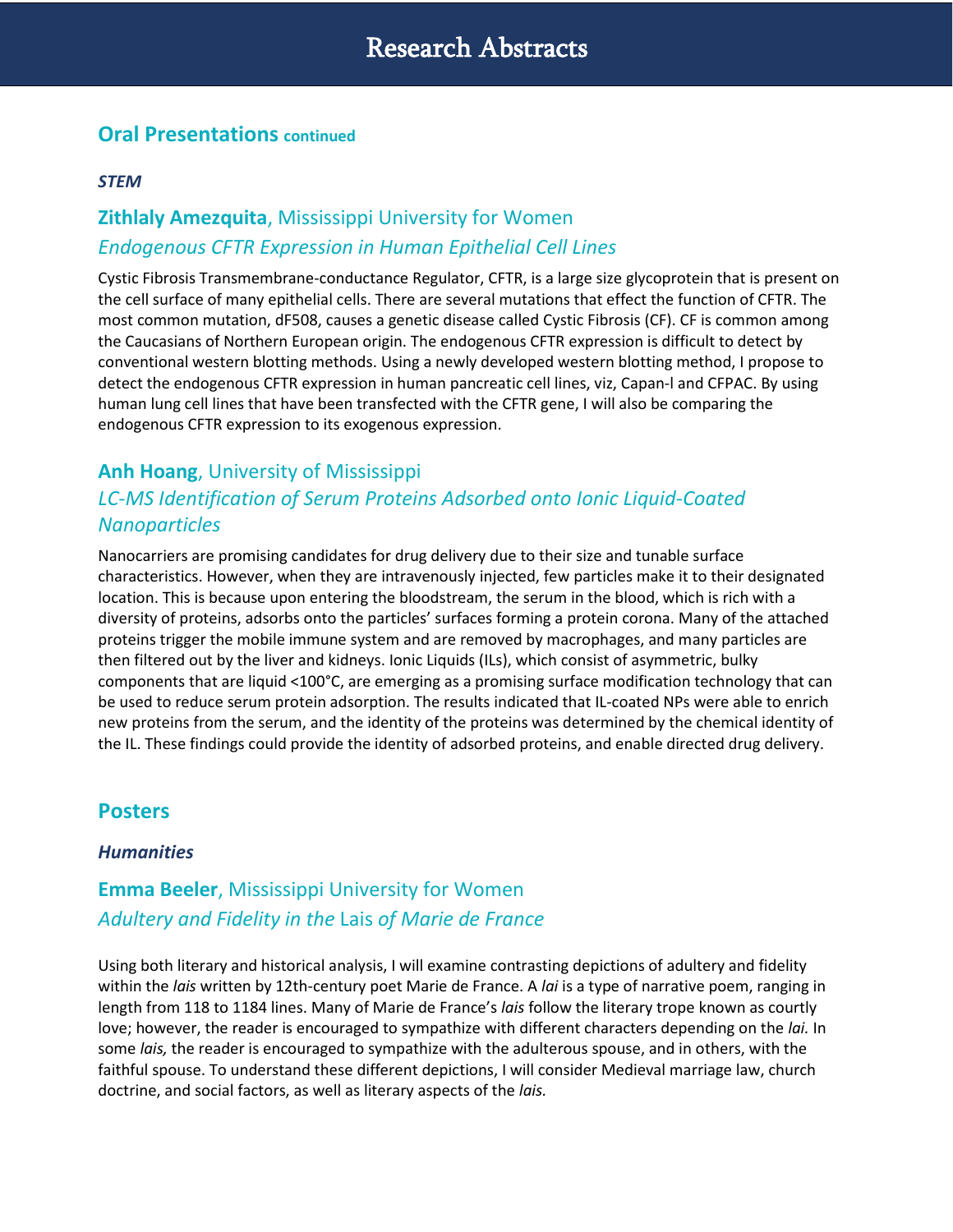#### **Oral Presentations continued**

#### *STEM*

## **Zithlaly Amezquita**, Mississippi University for Women *Endogenous CFTR Expression in Human Epithelial Cell Lines*

Cystic Fibrosis Transmembrane-conductance Regulator, CFTR, is a large size glycoprotein that is present on the cell surface of many epithelial cells. There are several mutations that effect the function of CFTR. The most common mutation, dF508, causes a genetic disease called Cystic Fibrosis (CF). CF is common among the Caucasians of Northern European origin. The endogenous CFTR expression is difficult to detect by conventional western blotting methods. Using a newly developed western blotting method, I propose to detect the endogenous CFTR expression in human pancreatic cell lines, viz, Capan-l and CFPAC. By using human lung cell lines that have been transfected with the CFTR gene, I will also be comparing the endogenous CFTR expression to its exogenous expression.

## **Anh Hoang**, University of Mississippi *LC-MS Identification of Serum Proteins Adsorbed onto Ionic Liquid-Coated Nanoparticles*

Nanocarriers are promising candidates for drug delivery due to their size and tunable surface characteristics. However, when they are intravenously injected, few particles make it to their designated location. This is because upon entering the bloodstream, the serum in the blood, which is rich with a diversity of proteins, adsorbs onto the particles' surfaces forming a protein corona. Many of the attached proteins trigger the mobile immune system and are removed by macrophages, and many particles are then filtered out by the liver and kidneys. Ionic Liquids (ILs), which consist of asymmetric, bulky components that are liquid <100°C, are emerging as a promising surface modification technology that can be used to reduce serum protein adsorption. The results indicated that IL-coated NPs were able to enrich new proteins from the serum, and the identity of the proteins was determined by the chemical identity of the IL. These findings could provide the identity of adsorbed proteins, and enable directed drug delivery.

#### **Posters**

#### *Humanities*

## **Emma Beeler**, Mississippi University for Women *Adultery and Fidelity in the* Lais *of Marie de France*

Using both literary and historical analysis, I will examine contrasting depictions of adultery and fidelity within the *lais* written by 12th-century poet Marie de France. A *lai* is a type of narrative poem, ranging in length from 118 to 1184 lines. Many of Marie de France's *lais* follow the literary trope known as courtly love; however, the reader is encouraged to sympathize with different characters depending on the *lai.* In some *lais,* the reader is encouraged to sympathize with the adulterous spouse, and in others, with the faithful spouse. To understand these different depictions, I will consider Medieval marriage law, church doctrine, and social factors, as well as literary aspects of the *lais.*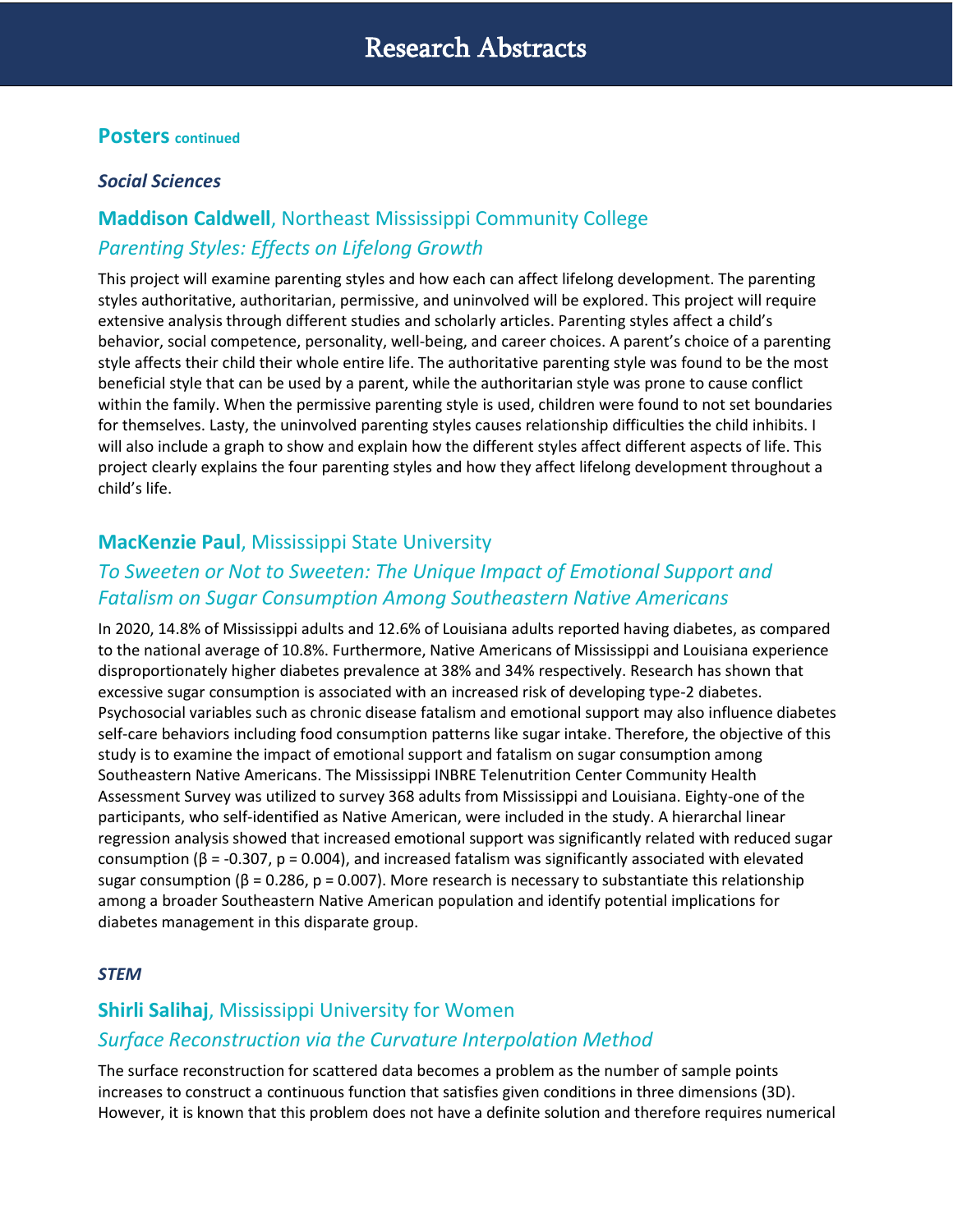#### **Posters continued**

#### *Social Sciences*

## **Maddison Caldwell**, Northeast Mississippi Community College *Parenting Styles: Effects on Lifelong Growth*

This project will examine parenting styles and how each can affect lifelong development. The parenting styles authoritative, authoritarian, permissive, and uninvolved will be explored. This project will require extensive analysis through different studies and scholarly articles. Parenting styles affect a child's behavior, social competence, personality, well-being, and career choices. A parent's choice of a parenting style affects their child their whole entire life. The authoritative parenting style was found to be the most beneficial style that can be used by a parent, while the authoritarian style was prone to cause conflict within the family. When the permissive parenting style is used, children were found to not set boundaries for themselves. Lasty, the uninvolved parenting styles causes relationship difficulties the child inhibits. I will also include a graph to show and explain how the different styles affect different aspects of life. This project clearly explains the four parenting styles and how they affect lifelong development throughout a child's life.

#### **MacKenzie Paul**, Mississippi State University

#### *To Sweeten or Not to Sweeten: The Unique Impact of Emotional Support and Fatalism on Sugar Consumption Among Southeastern Native Americans*

In 2020, 14.8% of Mississippi adults and 12.6% of Louisiana adults reported having diabetes, as compared to the national average of 10.8%. Furthermore, Native Americans of Mississippi and Louisiana experience disproportionately higher diabetes prevalence at 38% and 34% respectively. Research has shown that excessive sugar consumption is associated with an increased risk of developing type-2 diabetes. Psychosocial variables such as chronic disease fatalism and emotional support may also influence diabetes self-care behaviors including food consumption patterns like sugar intake. Therefore, the objective of this study is to examine the impact of emotional support and fatalism on sugar consumption among Southeastern Native Americans. The Mississippi INBRE Telenutrition Center Community Health Assessment Survey was utilized to survey 368 adults from Mississippi and Louisiana. Eighty-one of the participants, who self-identified as Native American, were included in the study. A hierarchal linear regression analysis showed that increased emotional support was significantly related with reduced sugar consumption (β = -0.307, p = 0.004), and increased fatalism was significantly associated with elevated sugar consumption ( $\beta$  = 0.286, p = 0.007). More research is necessary to substantiate this relationship among a broader Southeastern Native American population and identify potential implications for diabetes management in this disparate group.

#### *STEM*

## **Shirli Salihaj**, Mississippi University for Women *Surface Reconstruction via the Curvature Interpolation Method*

The surface reconstruction for scattered data becomes a problem as the number of sample points increases to construct a continuous function that satisfies given conditions in three dimensions (3D). However, it is known that this problem does not have a definite solution and therefore requires numerical